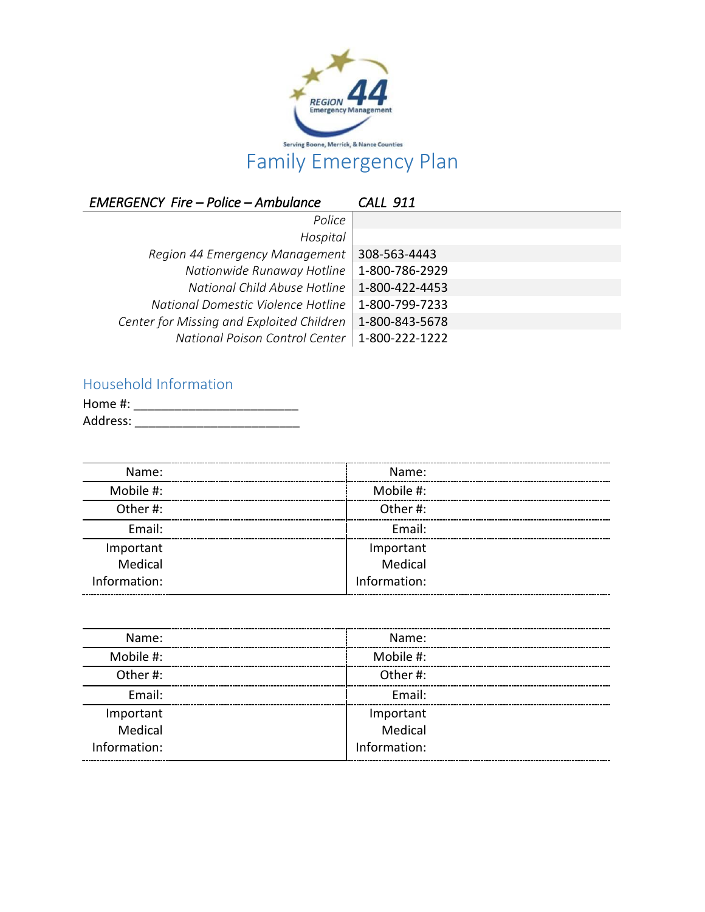

*EMERGENCY Fire – Police – Ambulance CALL 911 Police Hospital Region 44 Emergency Management* 308-563-4443 *Nationwide Runaway Hotline* 1-800-786-2929 *National Child Abuse Hotline* 1-800-422-4453 *National Domestic Violence Hotline* 1-800-799-7233 *Center for Missing and Exploited Children* 1-800-843-5678 *National Poison Control Center* 1-800-222-1222

## Household Information

| Home #:  |  |
|----------|--|
| Address: |  |

| Name:        | Name:        |  |
|--------------|--------------|--|
| Mobile #:    | Mobile #:    |  |
| Other#:      | Other#:      |  |
| Email:       | Email:       |  |
| Important    | Important    |  |
| Medical      | Medical      |  |
| Information: | Information: |  |
|              |              |  |

| Name:        | Name:        |  |
|--------------|--------------|--|
| Mobile #:    | Mobile #:    |  |
| Other#:      | Other#:      |  |
| Email:       | Fmail:       |  |
| Important    | Important    |  |
| Medical      | Medical      |  |
| Information: | Information: |  |
|              |              |  |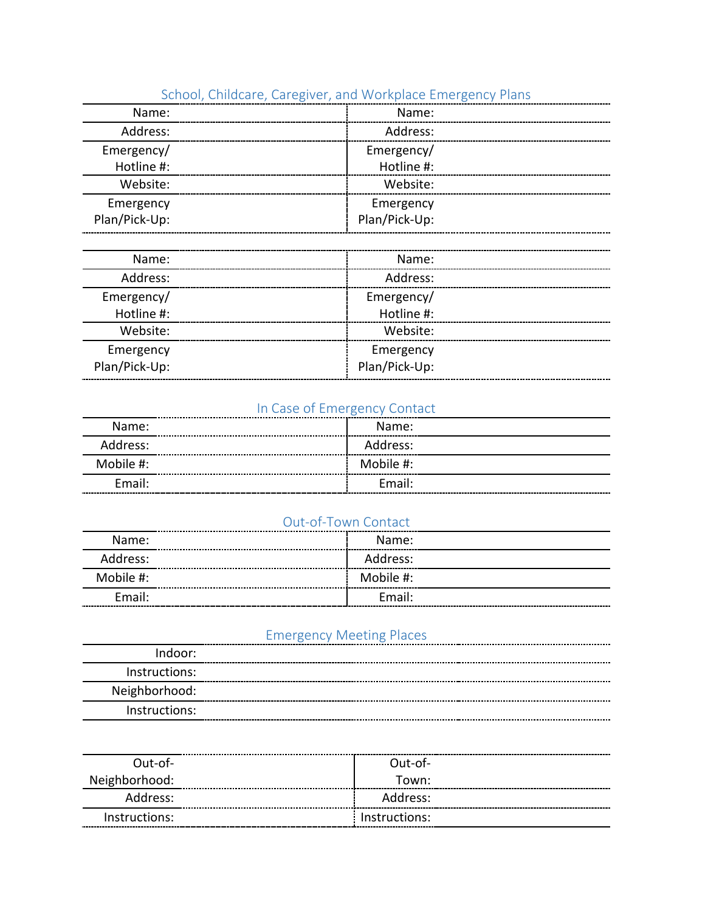| SCHOOL, CHIIQCare, Caregiver, and Workplace Emergency Pians |               |  |
|-------------------------------------------------------------|---------------|--|
| Name:                                                       | Name:         |  |
| Address:                                                    | Address:      |  |
| Emergency/                                                  | Emergency/    |  |
| Hotline #:                                                  | Hotline #:    |  |
| Website:                                                    | Website:      |  |
| Emergency                                                   | Emergency     |  |
| Plan/Pick-Up:                                               | Plan/Pick-Up: |  |
|                                                             |               |  |
|                                                             |               |  |

## School, Childcare, Caregiver, and Workplace Emergency Plans

| Name:         |
|---------------|
| Address:      |
| Emergency/    |
| Hotline #:    |
| Website:      |
| Emergency     |
| Plan/Pick-Up: |
|               |

# In Case of Emergency Contact

| Name:     | Name:     |  |
|-----------|-----------|--|
| Address:  | Address:  |  |
| Mobile #: | Mobile #: |  |
| Fmail:    | Fmail:    |  |
|           |           |  |

#### Out-of-Town Contact

| Name:     | Name:<br>----------------------- |  |
|-----------|----------------------------------|--|
| Address:  | Address:                         |  |
| Mobile #: | Mobile #:                        |  |
| Email:    | Email:                           |  |

## Emergency Meeting Places

| Indoor:       |  |
|---------------|--|
| Instructions: |  |
| Neighborhood: |  |
| Instructions: |  |

| Out-of-       |
|---------------|
| Town:         |
| Address:      |
| Instructions: |
|               |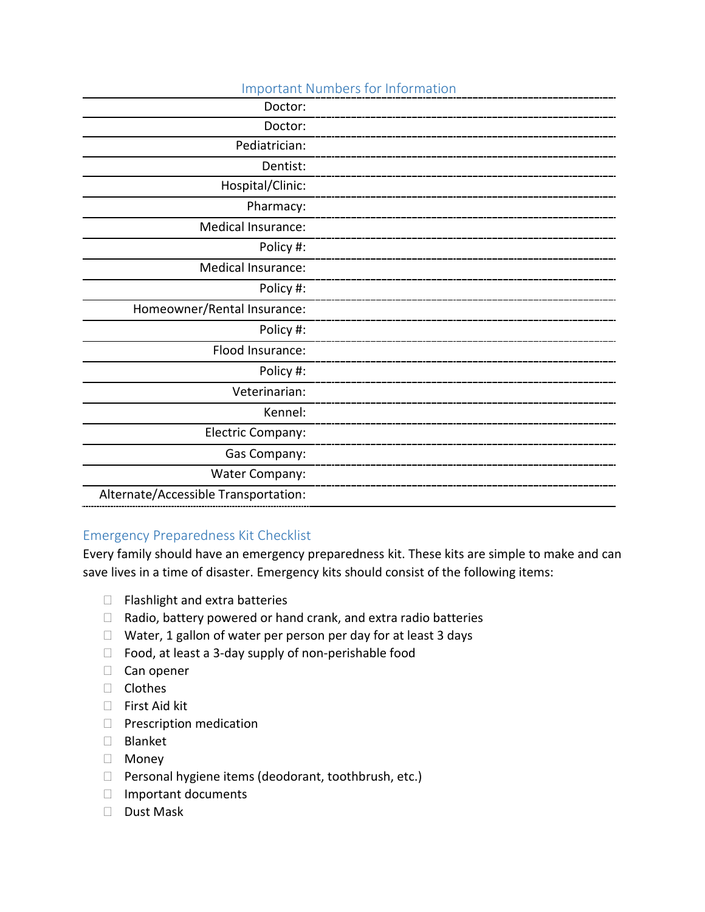| <b>Important Numbers for Information</b> |  |  |
|------------------------------------------|--|--|
| Doctor:                                  |  |  |
| Doctor:                                  |  |  |
| Pediatrician:                            |  |  |
| Dentist:                                 |  |  |
| Hospital/Clinic:                         |  |  |
| Pharmacy:                                |  |  |
| <b>Medical Insurance:</b>                |  |  |
| Policy #:                                |  |  |
| <b>Medical Insurance:</b>                |  |  |
| Policy #:                                |  |  |
| Homeowner/Rental Insurance:              |  |  |
| Policy #:                                |  |  |
| Flood Insurance:                         |  |  |
| Policy #:                                |  |  |
| Veterinarian:                            |  |  |
| Kennel:                                  |  |  |
| Electric Company:                        |  |  |
| Gas Company:                             |  |  |
| <b>Water Company:</b>                    |  |  |
| Alternate/Accessible Transportation:     |  |  |

## Emergency Preparedness Kit Checklist

Every family should have an emergency preparedness kit. These kits are simple to make and can save lives in a time of disaster. Emergency kits should consist of the following items:

- $\Box$  Flashlight and extra batteries
- $\Box$  Radio, battery powered or hand crank, and extra radio batteries
- $\Box$  Water, 1 gallon of water per person per day for at least 3 days
- $\Box$  Food, at least a 3-day supply of non-perishable food
- $\Box$  Can opener
- □ Clothes
- □ First Aid kit
- $\Box$  Prescription medication
- Blanket
- Money
- $\Box$  Personal hygiene items (deodorant, toothbrush, etc.)
- $\Box$  Important documents
- Dust Mask